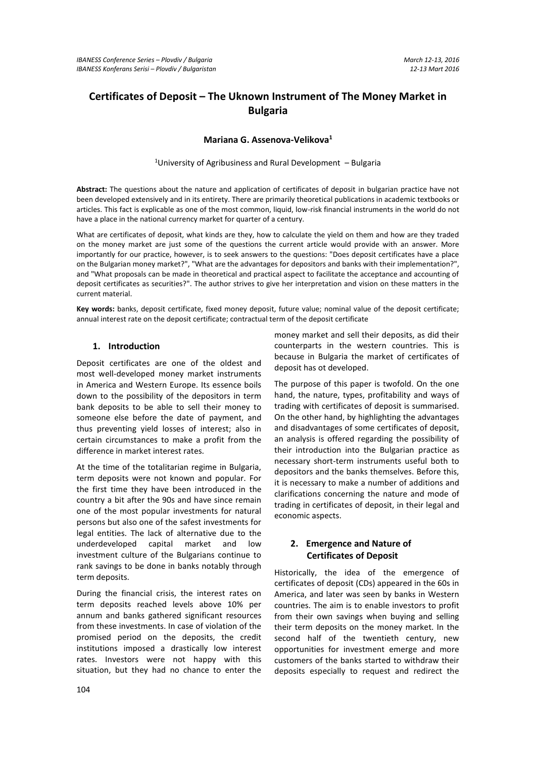# **Certificates of Deposit – The Uknown Instrument of The Money Market in Bulgaria**

### **Mariana G. Assenova-Velikova<sup>1</sup>**

<sup>1</sup>University of Agribusiness and Rural Development – Bulgaria

**Abstract:** The questions about the nature and application of certificates of deposit in bulgarian practice have not been developed extensively and in its entirety. There are primarily theoretical publications in academic textbooks or articles. This fact is explicable as one of the most common, liquid, low-risk financial instruments in the world do not have a place in the national currency market for quarter of a century.

What are certificates of deposit, what kinds are they, how to calculate the yield on them and how are they traded on the money market are just some of the questions the current article would provide with an answer. More importantly for our practice, however, is to seek answers to the questions: "Does deposit certificates have a place on the Bulgarian money market?", "What are the advantages for depositors and banks with their implementation?", and "What proposals can be made in theoretical and practical aspect to facilitate the acceptance and accounting of deposit certificates as securities?". The author strives to give her interpretation and vision on these matters in the current material.

**Key words:** banks, deposit certificate, fixed money deposit, future value; nominal value of the deposit certificate; annual interest rate on the deposit certificate; contractual term of the deposit certificate

### **1. Introduction**

Deposit certificates are one of the oldest and most well-developed money market instruments in America and Western Europe. Its essence boils down to the possibility of the depositors in term bank deposits to be able to sell their money to someone else before the date of payment, and thus preventing yield losses of interest; also in certain circumstances to make a profit from the difference in market interest rates.

At the time of the totalitarian regime in Bulgaria, term deposits were not known and popular. For the first time they have been introduced in the country a bit after the 90s and have since remain one of the most popular investments for natural persons but also one of the safest investments for legal entities. The lack of alternative due to the underdeveloped capital market and low investment culture of the Bulgarians continue to rank savings to be done in banks notably through term deposits.

During the financial crisis, the interest rates on term deposits reached levels above 10% per annum and banks gathered significant resources from these investments. In case of violation of the promised period on the deposits, the credit institutions imposed a drastically low interest rates. Investors were not happy with this situation, but they had no chance to enter the

money market and sell their deposits, as did their counterparts in the western countries. This is because in Bulgaria the market of certificates of deposit has ot developed.

The purpose of this paper is twofold. On the one hand, the nature, types, profitability and ways of trading with certificates of deposit is summarised. On the other hand, by highlighting the advantages and disadvantages of some certificates of deposit, an analysis is offered regarding the possibility of their introduction into the Bulgarian practice as necessary short-term instruments useful both to depositors and the banks themselves. Before this, it is necessary to make a number of additions and clarifications concerning the nature and mode of trading in certificates of deposit, in their legal and economic aspects.

## **2. Emergence and Nature of Certificates of Deposit**

Historically, the idea of the emergence of certificates of deposit (CDs) appeared in the 60s in America, and later was seen by banks in Western countries. The aim is to enable investors to profit from their own savings when buying and selling their term deposits on the money market. In the second half of the twentieth century, new opportunities for investment emerge and more customers of the banks started to withdraw their deposits especially to request and redirect the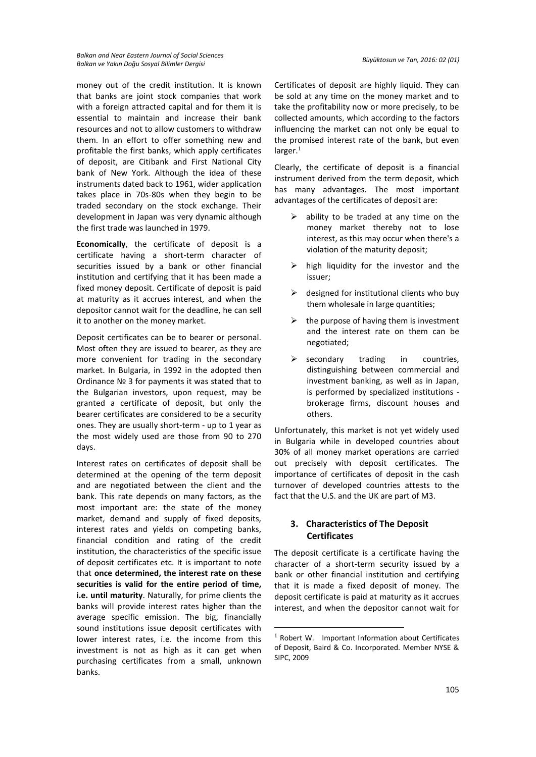money out of the credit institution. It is known that banks are joint stock companies that work with a foreign attracted capital and for them it is essential to maintain and increase their bank resources and not to allow customers to withdraw them. In an effort to offer something new and profitable the first banks, which apply certificates of deposit, are Citibank and First National City bank of New York. Although the idea of these instruments dated back to 1961, wider application takes place in 70s-80s when they begin to be traded secondary on the stock exchange. Their development in Japan was very dynamic although the first trade was launched in 1979.

**Economically**, the certificate of deposit is a certificate having a short-term character of securities issued by a bank or other financial institution and certifying that it has been made a fixed money deposit. Certificate of deposit is paid at maturity as it accrues interest, and when the depositor cannot wait for the deadline, he can sell it to another on the money market.

Deposit certificates can be to bearer or personal. Most often they are issued to bearer, as they are more convenient for trading in the secondary market. In Bulgaria, in 1992 in the adopted then Ordinance № 3 for payments it was stated that to the Bulgarian investors, upon request, may be granted a certificate of deposit, but only the bearer certificates are considered to be a security ones. They are usually short-term - up to 1 year as the most widely used are those from 90 to 270 days.

Interest rates on certificates of deposit shall be determined at the opening of the term deposit and are negotiated between the client and the bank. This rate depends on many factors, as the most important are: the state of the money market, demand and supply of fixed deposits, interest rates and yields on competing banks, financial condition and rating of the credit institution, the characteristics of the specific issue of deposit certificates etc. It is important to note that **once determined, the interest rate on these securities is valid for the entire period of time, i.e. until maturity**. Naturally, for prime clients the banks will provide interest rates higher than the average specific emission. The big, financially sound institutions issue deposit certificates with lower interest rates, i.e. the income from this investment is not as high as it can get when purchasing certificates from a small, unknown banks.

Certificates of deposit are highly liquid. They can be sold at any time on the money market and to take the profitability now or more precisely, to be collected amounts, which according to the factors influencing the market can not only be equal to the promised interest rate of the bank, but even  $l$ arger. $1$ 

Clearly, the certificate of deposit is a financial instrument derived from the term deposit, which has many advantages. The most important advantages of the certificates of deposit are:

- $\triangleright$  ability to be traded at any time on the money market thereby not to lose interest, as this may occur when there's a violation of the maturity deposit;
- $\triangleright$  high liquidity for the investor and the issuer;
- $\triangleright$  designed for institutional clients who buy them wholesale in large quantities;
- $\triangleright$  the purpose of having them is investment and the interest rate on them can be negotiated;
- $\triangleright$  secondary trading in countries, distinguishing between commercial and investment banking, as well as in Japan, is performed by specialized institutions brokerage firms, discount houses and others.

Unfortunately, this market is not yet widely used in Bulgaria while in developed countries about 30% of all money market operations are carried out precisely with deposit certificates. The importance of certificates of deposit in the cash turnover of developed countries attests to the fact that the U.S. and the UK are part of M3.

### **3. Characteristics of The Deposit Certificates**

The deposit certificate is a certificate having the character of a short-term security issued by a bank or other financial institution and certifying that it is made a fixed deposit of money. The deposit certificate is paid at maturity as it accrues interest, and when the depositor cannot wait for

**.** 

 $1$  Robert W. Important Information about Certificates of Deposit, Baird & Co. Incorporated. Member NYSE & SIPC, 2009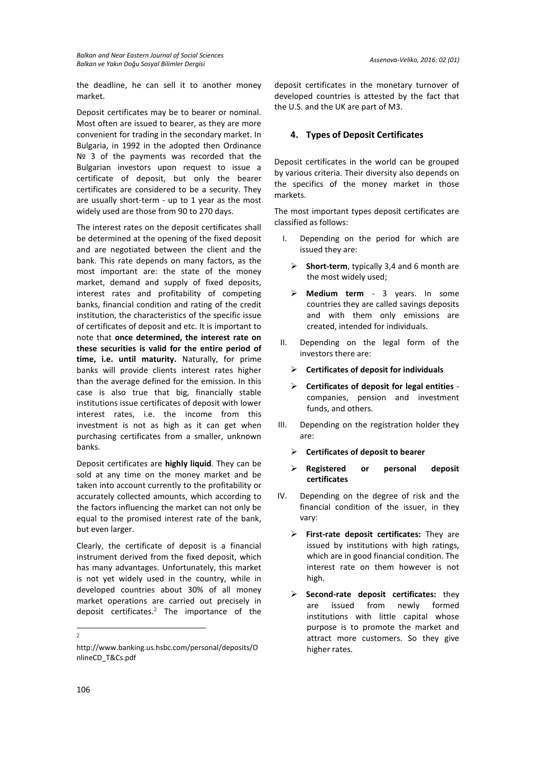the deadline, he can sell it to another money market.

Deposit certificates may be to bearer or nominal. Most often are issued to bearer, as they are more convenient for trading in the secondary market. In Bulgaria, in 1992 in the adopted then Ordinance Nº 3 of the payments was recorded that the Bulgarian investors upon request to issue a certificate of deposit, but only the bearer certificates are considered to be a security. They are usually short-term - up to 1 year as the most widely used are those from 90 to 270 days.

The interest rates on the deposit certificates shall be determined at the opening of the fixed deposit and are negotiated between the client and the bank. This rate depends on many factors, as the most important are: the state of the money market, demand and supply of fixed deposits, interest rates and profitability of competing banks, financial condition and rating of the credit institution, the characteristics of the specific issue of certificates of deposit and etc. It is important to note that **once determined, the interest rate on these securities is valid for the entire period of time, i.e. until maturity.** Naturally, for prime banks will provide clients interest rates higher than the average defined for the emission. In this case is also true that big, financially stable institutions issue certificates of deposit with lower interest rates, i.e. the income from this investment is not as high as it can get when purchasing certificates from a smaller, unknown banks.

Deposit certificates are **highly liquid**. They can be sold at any time on the money market and be taken into account currently to the profitability or accurately collected amounts, which according to the factors influencing the market can not only be equal to the promised interest rate of the bank, but even larger.

Clearly, the certificate of deposit is a financial instrument derived from the fixed deposit, which has many advantages. Unfortunately, this market is not yet widely used in the country, while in developed countries about 30% of all money market operations are carried out precisely in deposit certificates.<sup>2</sup> The importance of the

 $\frac{1}{2}$ 

deposit certificates in the monetary turnover of developed countries is attested by the fact that the U.S. and the UK are part of M3.

### **4. Types of Deposit Certificates**

Deposit certificates in the world can be grouped by various criteria. Their diversity also depends on the specifics of the money market in those markets.

The most important types deposit certificates are classified as follows:

- I. Depending on the period for which are issued they are:
	- **Short-term**, typically 3,4 and 6 month are the most widely used;
	- **Medium term** 3 years. In some countries they are called savings deposits and with them only emissions are created, intended for individuals.
- II. Depending on the legal form of the investors there are:
	- **Certificates of deposit for individuals**
	- **Certificates of deposit for legal entities**  companies, pension and investment funds, and others.
- III. Depending on the registration holder they are:
	- **Certificates of deposit to bearer**
	- **Registered or personal deposit certificates**
- IV. Depending on the degree of risk and the financial condition of the issuer, in they vary:
	- **First-rate deposit certificates:** They are issued by institutions with high ratings, which are in good financial condition. The interest rate on them however is not high.
	- **Second-rate deposit certificates:** they are issued from newly formed institutions with little capital whose purpose is to promote the market and attract more customers. So they give higher rates.

http://www.banking.us.hsbc.com/personal/deposits/O nlineCD\_T&Cs.pdf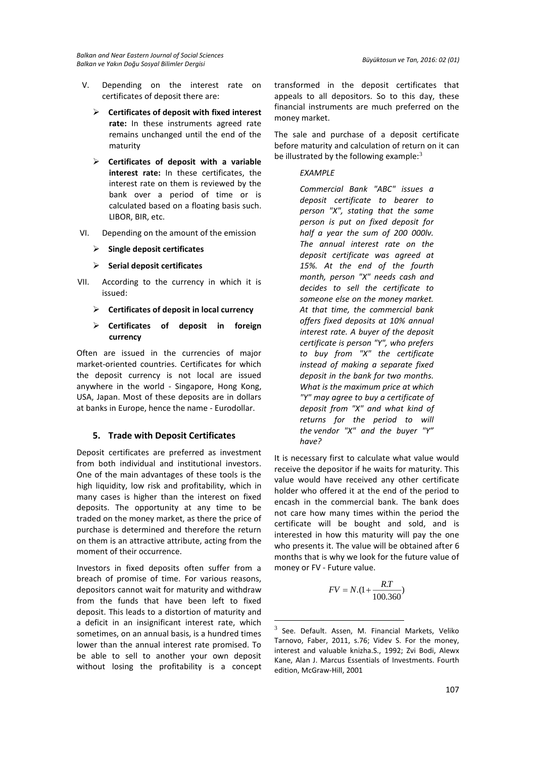- V. Depending on the interest rate on certificates of deposit there are:
	- **Certificates of deposit with fixed interest rate:** In these instruments agreed rate remains unchanged until the end of the maturity
	- **Certificates of deposit with a variable interest rate:** In these certificates, the interest rate on them is reviewed by the bank over a period of time or is calculated based on a floating basis such. LIBOR, BIR, etc.
- VI. Depending on the amount of the emission
	- **Single deposit certificates**
	- **Serial deposit certificates**
- VII. According to the currency in which it is issued:
	- **Certificates of deposit in local currency**
	- **Certificates of deposit in foreign currency**

Often are issued in the currencies of major market-oriented countries. Certificates for which the deposit currency is not local are issued anywhere in the world - Singapore, Hong Kong, USA, Japan. Most of these deposits are in dollars at banks in Europe, hence the name - Eurodollar.

#### **5. Trade with Deposit Certificates**

Deposit certificates are preferred as investment from both individual and institutional investors. One of the main advantages of these tools is the high liquidity, low risk and profitability, which in many cases is higher than the interest on fixed deposits. The opportunity at any time to be traded on the money market, as there the price of purchase is determined and therefore the return on them is an attractive attribute, acting from the moment of their occurrence.

Investors in fixed deposits often suffer from a breach of promise of time. For various reasons, depositors cannot wait for maturity and withdraw from the funds that have been left to fixed deposit. This leads to a distortion of maturity and a deficit in an insignificant interest rate, which sometimes, on an annual basis, is a hundred times lower than the annual interest rate promised. To be able to sell to another your own deposit without losing the profitability is a concept transformed in the deposit certificates that appeals to all depositors. So to this day, these financial instruments are much preferred on the money market.

The sale and purchase of a deposit certificate before maturity and calculation of return on it can be illustrated by the following example: $3$ 

### *EXAMPLE*

*Commercial Bank "ABC" issues a deposit certificate to bearer to person "X", stating that the same person is put on fixed deposit for half a year the sum of 200 000lv. The annual interest rate on the deposit certificate was agreed at 15%. At the end of the fourth month, person "X" needs cash and decides to sell the certificate to someone else on the money market. At that time, the commercial bank offers fixed deposits at 10% annual interest rate. A buyer of the deposit certificate is person "Y", who prefers to buy from "X" the certificate instead of making a separate fixed deposit in the bank for two months. What is the maximum price at which "Y" may agree to buy a certificate of deposit from "X" and what kind of returns for the period to will the vendor "X" and the buyer "Y" have?*

It is necessary first to calculate what value would receive the depositor if he waits for maturity. This value would have received any other certificate holder who offered it at the end of the period to encash in the commercial bank. The bank does not care how many times within the period the certificate will be bought and sold, and is interested in how this maturity will pay the one who presents it. The value will be obtained after 6 months that is why we look for the future value of money or FV - Future value.

$$
FV = N.(1 + \frac{R.T}{100.360})
$$

<u>.</u>

 $3$  See. Default. Assen, M. Financial Markets, Veliko Tarnovo, Faber, 2011, s.76; Videv S. For the money, interest and valuable knizha.S., 1992; Zvi Bodi, Alewx Kane, Alan J. Marcus Essentials of Investments. Fourth edition, McGraw-Hill, 2001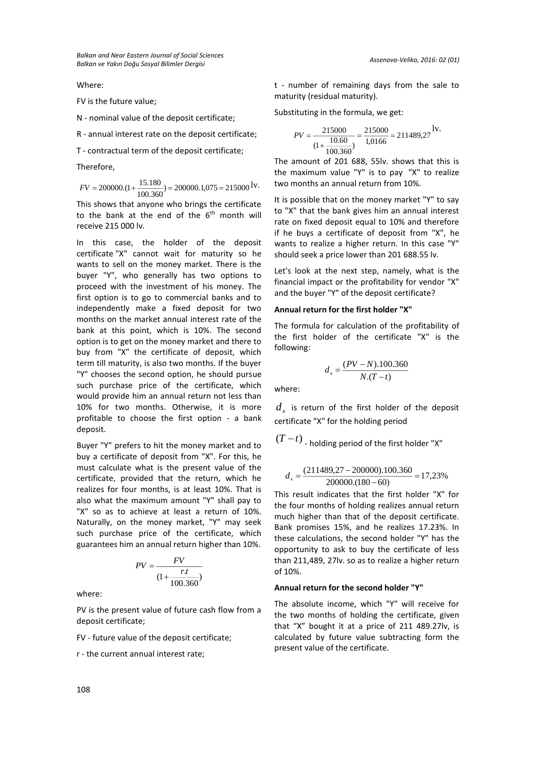Where:

FV is the future value;

N - nominal value of the deposit certificate;

R - annual interest rate on the deposit certificate;

T - contractual term of the deposit certificate;

Therefore,

 $FV = 200000 \cdot (1 + \frac{15.180}{100.360}) = 200000 \cdot 1,075 = 215000$ <sup>IV</sup>

This shows that anyone who brings the certificate to the bank at the end of the  $6<sup>th</sup>$  month will receive 215 000 lv.

In this case, the holder of the deposit certificate "X" cannot wait for maturity so he wants to sell on the money market. There is the buyer "Y", who generally has two options to proceed with the investment of his money. The first option is to go to commercial banks and to independently make a fixed deposit for two months on the market annual interest rate of the bank at this point, which is 10%. The second option is to get on the money market and there to buy from "X" the certificate of deposit, which term till maturity, is also two months. If the buyer "Y" chooses the second option, he should pursue such purchase price of the certificate, which would provide him an annual return not less than 10% for two months. Otherwise, it is more profitable to choose the first option - a bank deposit.

Buyer "Y" prefers to hit the money market and to buy a certificate of deposit from "X". For this, he must calculate what is the present value of the certificate, provided that the return, which he realizes for four months, is at least 10%. That is also what the maximum amount "Y" shall pay to "X" so as to achieve at least a return of 10%. Naturally, on the money market, "Y" may seek such purchase price of the certificate, which guarantees him an annual return higher than 10%.

$$
PV = \frac{FV}{\left(1 + \frac{rt}{100.360}\right)}
$$

where:

PV is the present value of future cash flow from a deposit certificate;

FV - future value of the deposit certificate;

r - the current annual interest rate;

t - number of remaining days from the sale to maturity (residual maturity).

Substituting in the formula, we get:

$$
PV = \frac{215000}{(1 + \frac{10.60}{100.360})} = \frac{215000}{1,0166} = 211489,27
$$
lv.

The amount of 201 688, 55lv. shows that this is the maximum value "Y" is to pay "X" to realize two months an annual return from 10%.

It is possible that on the money market "Y" to say to "X" that the bank gives him an annual interest rate on fixed deposit equal to 10% and therefore if he buys a certificate of deposit from "X", he wants to realize a higher return. In this case "Y" should seek a price lower than 201 688.55 lv.

Let's look at the next step, namely, what is the financial impact or the profitability for vendor "X" and the buyer "Y" of the deposit certificate?

#### **Annual return for the first holder "X"**

The formula for calculation of the profitability of the first holder of the certificate "X" is the following:

$$
d_x = \frac{(PV - N).100.360}{N.(T-t)}
$$

where:

 $d_{_X}$  is return of the first holder of the deposit certificate "X" for the holding period

 $(T-t)$  <sub>-</sub> holding period of the first holder "X"

$$
d_x = \frac{(211489,27 - 200000),100.360}{200000,(180 - 60)} = 17,23\%
$$

This result indicates that the first holder "X" for the four months of holding realizes annual return much higher than that of the deposit certificate. Bank promises 15%, and he realizes 17.23%. In these calculations, the second holder "Y" has the opportunity to ask to buy the certificate of less than 211,489, 27lv. so as to realize a higher return of 10%.

#### **Annual return for the second holder "Y"**

The absolute income, which "Y" will receive for the two months of holding the certificate, given that "X" bought it at a price of 211 489.27lv, is calculated by future value subtracting form the present value of the certificate.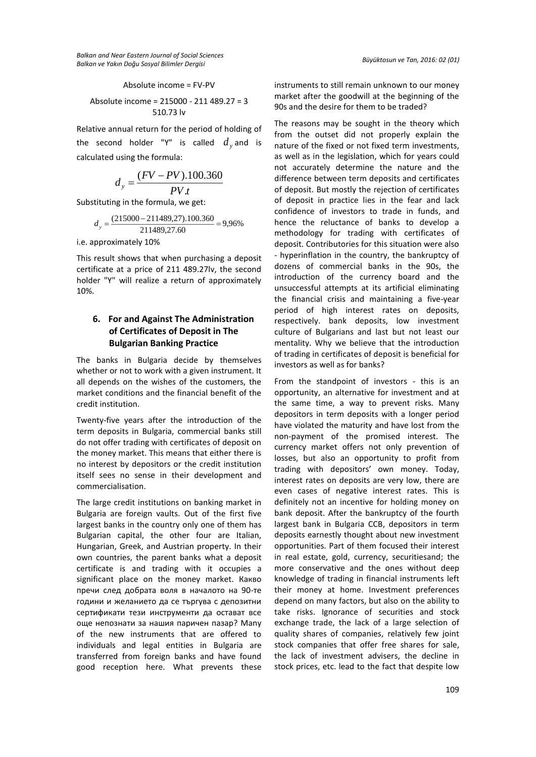*Balkan and Near Eastern Journal of Social Sciences Balkan ve Yakın Doğu Sosyal Bilimler Dergisi Büyüktosun ve Tan, 2016: 02 (01)*

Absolute income = FV-PV

Absolute income = 
$$
215000 - 211489.27 = 3
$$
  
510.73 ly

Relative annual return for the period of holding of the second holder "Y" is called  $d_{y}^{\,}$  and is calculated using the formula:

$$
d_y = \frac{(FV - PV).100.360}{PV \cdot t}
$$

Substituting in the formula, we get:

$$
d_y = \frac{(215000 - 211489,27) \cdot 100.360}{211489,27.60} = 9,96\%
$$

i.e. approximately 10%

This result shows that when purchasing a deposit certificate at a price of 211 489.27lv, the second holder "Y" will realize a return of approximately 10%.

# **6. For and Against The Administration of Certificates of Deposit in The Bulgarian Banking Practice**

The banks in Bulgaria decide by themselves whether or not to work with a given instrument. It all depends on the wishes of the customers, the market conditions and the financial benefit of the credit institution.

Twenty-five years after the introduction of the term deposits in Bulgaria, commercial banks still do not offer trading with certificates of deposit on the money market. This means that either there is no interest by depositors or the credit institution itself sees no sense in their development and commercialisation.

The large credit institutions on banking market in Bulgaria are foreign vaults. Out of the first five largest banks in the country only one of them has Bulgarian capital, the other four are Italian, Hungarian, Greek, and Austrian property. In their own countries, the parent banks what a deposit certificate is and trading with it occupies a significant place on the money market. Какво пречи след добрата воля в началото на 90-те години и желанието да се търгува с депозитни сертификати тези инструменти да остават все още непознати за нашия паричен пазар? Many of the new instruments that are offered to individuals and legal entities in Bulgaria are transferred from foreign banks and have found good reception here. What prevents these

instruments to still remain unknown to our money market after the goodwill at the beginning of the 90s and the desire for them to be traded?

The reasons may be sought in the theory which from the outset did not properly explain the nature of the fixed or not fixed term investments, as well as in the legislation, which for years could not accurately determine the nature and the difference between term deposits and certificates of deposit. But mostly the rejection of certificates of deposit in practice lies in the fear and lack confidence of investors to trade in funds, and hence the reluctance of banks to develop a methodology for trading with certificates of deposit. Contributories for this situation were also - hyperinflation in the country, the bankruptcy of dozens of commercial banks in the 90s, the introduction of the currency board and the unsuccessful attempts at its artificial eliminating the financial crisis and maintaining a five-year period of high interest rates on deposits, respectively. bank deposits, low investment culture of Bulgarians and last but not least our mentality. Why we believe that the introduction of trading in certificates of deposit is beneficial for investors as well as for banks?

From the standpoint of investors - this is an opportunity, an alternative for investment and at the same time, a way to prevent risks. Many depositors in term deposits with a longer period have violated the maturity and have lost from the non-payment of the promised interest. The currency market offers not only prevention of losses, but also an opportunity to profit from trading with depositors' own money. Today, interest rates on deposits are very low, there are even cases of negative interest rates. This is definitely not an incentive for holding money on bank deposit. After the bankruptcy of the fourth largest bank in Bulgaria CCB, depositors in term deposits earnestly thought about new investment opportunities. Part of them focused their interest in real estate, gold, currency, securitiesand; the more conservative and the ones without deep knowledge of trading in financial instruments left their money at home. Investment preferences depend on many factors, but also on the ability to take risks. Ignorance of securities and stock exchange trade, the lack of a large selection of quality shares of companies, relatively few joint stock companies that offer free shares for sale, the lack of investment advisers, the decline in stock prices, etc. lead to the fact that despite low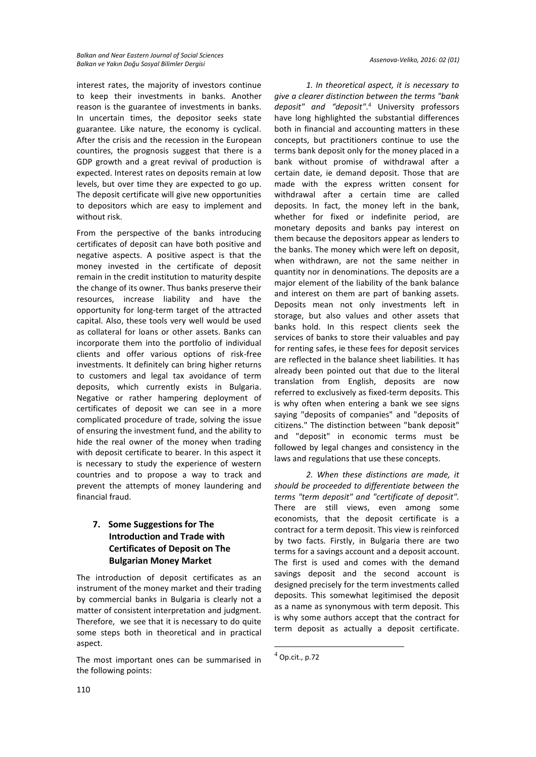interest rates, the majority of investors continue to keep their investments in banks. Another reason is the guarantee of investments in banks. In uncertain times, the depositor seeks state guarantee. Like nature, the economy is cyclical. After the crisis and the recession in the European countires, the prognosis suggest that there is a GDP growth and a great revival of production is expected. Interest rates on deposits remain at low levels, but over time they are expected to go up. The deposit certificate will give new opportunities to depositors which are easy to implement and without risk.

From the perspective of the banks introducing certificates of deposit can have both positive and negative aspects. A positive aspect is that the money invested in the certificate of deposit remain in the credit institution to maturity despite the change of its owner. Thus banks preserve their resources, increase liability and have the opportunity for long-term target of the attracted capital. Also, these tools very well would be used as collateral for loans or other assets. Banks can incorporate them into the portfolio of individual clients and offer various options of risk-free investments. It definitely can bring higher returns to customers and legal tax avoidance of term deposits, which currently exists in Bulgaria. Negative or rather hampering deployment of certificates of deposit we can see in a more complicated procedure of trade, solving the issue of ensuring the investment fund, and the ability to hide the real owner of the money when trading with deposit certificate to bearer. In this aspect it is necessary to study the experience of western countries and to propose a way to track and prevent the attempts of money laundering and financial fraud.

# **7. Some Suggestions for The Introduction and Trade with Certificates of Deposit on The Bulgarian Money Market**

The introduction of deposit certificates as an instrument of the money market and their trading by commercial banks in Bulgaria is clearly not a matter of consistent interpretation and judgment. Therefore, we see that it is necessary to do quite some steps both in theoretical and in practical aspect.

The most important ones can be summarised in the following points:

*1. In theoretical aspect, it is necessary to give a clearer distinction between the terms "bank deposit" and "deposit"*. <sup>4</sup> University professors have long highlighted the substantial differences both in financial and accounting matters in these concepts, but practitioners continue to use the terms bank deposit only for the money placed in a bank without promise of withdrawal after a certain date, ie demand deposit. Those that are made with the express written consent for withdrawal after a certain time are called deposits. In fact, the money left in the bank, whether for fixed or indefinite period, are monetary deposits and banks pay interest on them because the depositors appear as lenders to the banks. The money which were left on deposit, when withdrawn, are not the same neither in quantity nor in denominations. The deposits are a major element of the liability of the bank balance and interest on them are part of banking assets. Deposits mean not only investments left in storage, but also values and other assets that banks hold. In this respect clients seek the services of banks to store their valuables and pay for renting safes, ie these fees for deposit services are reflected in the balance sheet liabilities. It has already been pointed out that due to the literal translation from English, deposits are now referred to exclusively as fixed-term deposits. This is why often when entering a bank we see signs saying "deposits of companies" and "deposits of citizens." The distinction between "bank deposit" and "deposit" in economic terms must be followed by legal changes and consistency in the laws and regulations that use these concepts.

*2. When these distinctions are made, it should be proceeded to differentiate between the terms "term deposit" and "certificate of deposit".* There are still views, even among some economists, that the deposit certificate is a contract for a term deposit. This view is reinforced by two facts. Firstly, in Bulgaria there are two terms for a savings account and a deposit account. The first is used and comes with the demand savings deposit and the second account is designed precisely for the term investments called deposits. This somewhat legitimised the deposit as a name as synonymous with term deposit. This is why some authors accept that the contract for term deposit as actually a deposit certificate.

**.** 

 $<sup>4</sup>$  Op.cit., p.72</sup>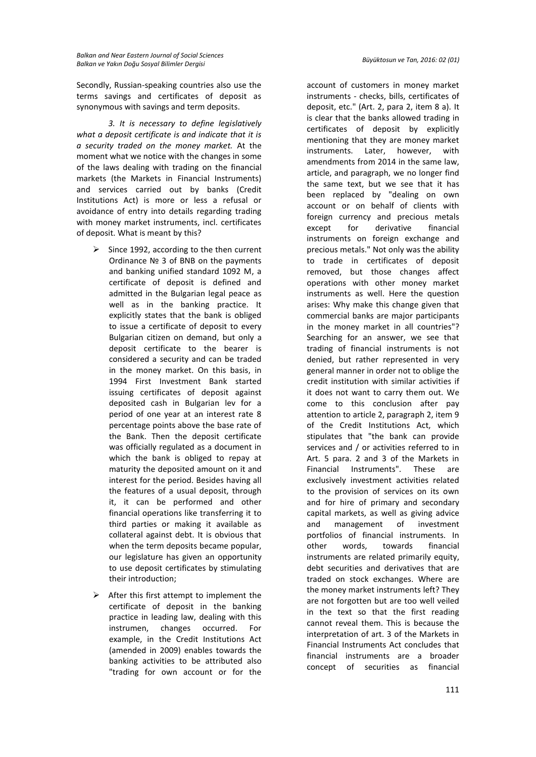Secondly, Russian-speaking countries also use the terms savings and certificates of deposit as synonymous with savings and term deposits.

*3. It is necessary to define legislatively what a deposit certificate is and indicate that it is a security traded on the money market.* At the moment what we notice with the changes in some of the laws dealing with trading on the financial markets (the Markets in Financial Instruments) and services carried out by banks (Credit Institutions Act) is more or less a refusal or avoidance of entry into details regarding trading with money market instruments, incl. certificates of deposit. What is meant by this?

- Since 1992, according to the then current Ordinance № 3 of BNB on the payments and banking unified standard 1092 M, a certificate of deposit is defined and admitted in the Bulgarian legal peace as well as in the banking practice. It explicitly states that the bank is obliged to issue a certificate of deposit to every Bulgarian citizen on demand, but only a deposit certificate to the bearer is considered a security and can be traded in the money market. On this basis, in 1994 First Investment Bank started issuing certificates of deposit against deposited cash in Bulgarian lev for a period of one year at an interest rate 8 percentage points above the base rate of the Bank. Then the deposit certificate was officially regulated as a document in which the bank is obliged to repay at maturity the deposited amount on it and interest for the period. Besides having all the features of a usual deposit, through it, it can be performed and other financial operations like transferring it to third parties or making it available as collateral against debt. It is obvious that when the term deposits became popular, our legislature has given an opportunity to use deposit certificates by stimulating their introduction;
- $\triangleright$  After this first attempt to implement the certificate of deposit in the banking practice in leading law, dealing with this instrumen, changes occurred. For example, in the Credit Institutions Act (amended in 2009) enables towards the banking activities to be attributed also "trading for own account or for the

account of customers in money market instruments - checks, bills, certificates of deposit, etc." (Art. 2, para 2, item 8 a). It is clear that the banks allowed trading in certificates of deposit by explicitly mentioning that they are money market instruments. Later, however, with amendments from 2014 in the same law, article, and paragraph, we no longer find the same text, but we see that it has been replaced by "dealing on own account or on behalf of clients with foreign currency and precious metals except for derivative financial instruments on foreign exchange and precious metals." Not only was the ability to trade in certificates of deposit removed, but those changes affect operations with other money market instruments as well. Here the question arises: Why make this change given that commercial banks are major participants in the money market in all countries"? Searching for an answer, we see that trading of financial instruments is not denied, but rather represented in very general manner in order not to oblige the credit institution with similar activities if it does not want to carry them out. We come to this conclusion after pay attention to article 2, paragraph 2, item 9 of the Credit Institutions Act, which stipulates that "the bank can provide services and / or activities referred to in Art. 5 para. 2 and 3 of the Markets in Financial Instruments". These are exclusively investment activities related to the provision of services on its own and for hire of primary and secondary capital markets, as well as giving advice and management of investment portfolios of financial instruments. In other words, towards financial instruments are related primarily equity, debt securities and derivatives that are traded on stock exchanges. Where are the money market instruments left? They are not forgotten but are too well veiled in the text so that the first reading cannot reveal them. This is because the interpretation of art. 3 of the Markets in Financial Instruments Act concludes that financial instruments are a broader concept of securities as financial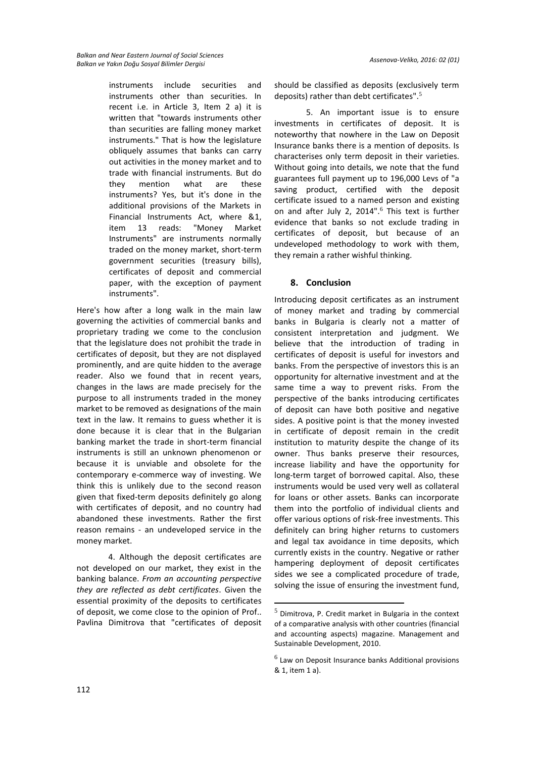instruments include securities and instruments other than securities. In recent i.e. in Article 3, Item 2 a) it is written that "towards instruments other than securities are falling money market instruments." That is how the legislature obliquely assumes that banks can carry out activities in the money market and to trade with financial instruments. But do they mention what are these instruments? Yes, but it's done in the additional provisions of the Markets in Financial Instruments Act, where &1, item 13 reads: "Money Market Instruments" are instruments normally traded on the money market, short-term government securities (treasury bills), certificates of deposit and commercial paper, with the exception of payment instruments".

Here's how after a long walk in the main law governing the activities of commercial banks and proprietary trading we come to the conclusion that the legislature does not prohibit the trade in certificates of deposit, but they are not displayed prominently, and are quite hidden to the average reader. Also we found that in recent years, changes in the laws are made precisely for the purpose to all instruments traded in the money market to be removed as designations of the main text in the law. It remains to guess whether it is done because it is clear that in the Bulgarian banking market the trade in short-term financial instruments is still an unknown phenomenon or because it is unviable and obsolete for the contemporary e-commerce way of investing. We think this is unlikely due to the second reason given that fixed-term deposits definitely go along with certificates of deposit, and no country had abandoned these investments. Rather the first reason remains - an undeveloped service in the money market.

4. Although the deposit certificates are not developed on our market, they exist in the banking balance. *From an accounting perspective they are reflected as debt certificates*. Given the essential proximity of the deposits to certificates of deposit, we come close to the opinion of Prof.. Pavlina Dimitrova that "certificates of deposit should be classified as deposits (exclusively term deposits) rather than debt certificates". 5

5. An important issue is to ensure investments in certificates of deposit. It is noteworthy that nowhere in the Law on Deposit Insurance banks there is a mention of deposits. Is characterises only term deposit in their varieties. Without going into details, we note that the fund guarantees full payment up to 196,000 Levs of "a saving product, certified with the deposit certificate issued to a named person and existing on and after July 2, 2014". <sup>6</sup> This text is further evidence that banks so not exclude trading in certificates of deposit, but because of an undeveloped methodology to work with them, they remain a rather wishful thinking.

### **8. Conclusion**

Introducing deposit certificates as an instrument of money market and trading by commercial banks in Bulgaria is clearly not a matter of consistent interpretation and judgment. We believe that the introduction of trading in certificates of deposit is useful for investors and banks. From the perspective of investors this is an opportunity for alternative investment and at the same time a way to prevent risks. From the perspective of the banks introducing certificates of deposit can have both positive and negative sides. A positive point is that the money invested in certificate of deposit remain in the credit institution to maturity despite the change of its owner. Thus banks preserve their resources, increase liability and have the opportunity for long-term target of borrowed capital. Also, these instruments would be used very well as collateral for loans or other assets. Banks can incorporate them into the portfolio of individual clients and offer various options of risk-free investments. This definitely can bring higher returns to customers and legal tax avoidance in time deposits, which currently exists in the country. Negative or rather hampering deployment of deposit certificates sides we see a complicated procedure of trade, solving the issue of ensuring the investment fund,

1

 $<sup>5</sup>$  Dimitrova, P. Credit market in Bulgaria in the context</sup> of a comparative analysis with other countries (financial and accounting aspects) magazine. Management and Sustainable Development, 2010.

 $<sup>6</sup>$  Law on Deposit Insurance banks Additional provisions</sup> & 1, item 1 a).